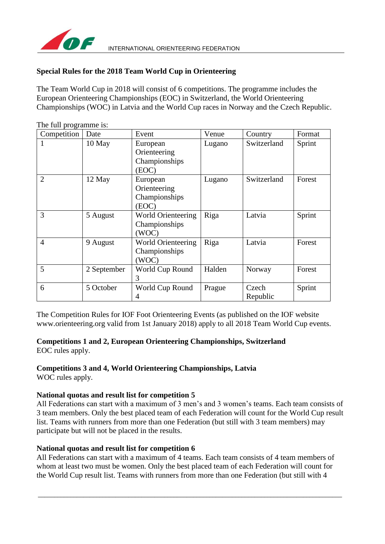

#### **Special Rules for the 2018 Team World Cup in Orienteering**

The Team World Cup in 2018 will consist of 6 competitions. The programme includes the European Orienteering Championships (EOC) in Switzerland, the World Orienteering Championships (WOC) in Latvia and the World Cup races in Norway and the Czech Republic.

| The full programme is: |             |                                                    |        |                   |        |
|------------------------|-------------|----------------------------------------------------|--------|-------------------|--------|
| Competition            | Date        | Event                                              | Venue  | Country           | Format |
|                        | 10 May      | European<br>Orienteering<br>Championships<br>(EOC) | Lugano | Switzerland       | Sprint |
| $\overline{2}$         | 12 May      | European<br>Orienteering<br>Championships<br>(EOC) | Lugano | Switzerland       | Forest |
| 3                      | 5 August    | World Orienteering<br>Championships<br>(WOC)       | Riga   | Latvia            | Sprint |
| $\overline{4}$         | 9 August    | World Orienteering<br>Championships<br>(WOC)       | Riga   | Latvia            | Forest |
| 5                      | 2 September | World Cup Round<br>3                               | Halden | Norway            | Forest |
| 6                      | 5 October   | World Cup Round                                    | Prague | Czech<br>Republic | Sprint |

The Competition Rules for IOF Foot Orienteering Events (as published on the IOF website www.orienteering.org valid from 1st January 2018) apply to all 2018 Team World Cup events.

# **Competitions 1 and 2, European Orienteering Championships, Switzerland**

EOC rules apply.

## **Competitions 3 and 4, World Orienteering Championships, Latvia**

WOC rules apply.

#### **National quotas and result list for competition 5**

All Federations can start with a maximum of 3 men's and 3 women's teams. Each team consists of 3 team members. Only the best placed team of each Federation will count for the World Cup result list. Teams with runners from more than one Federation (but still with 3 team members) may participate but will not be placed in the results.

#### **National quotas and result list for competition 6**

All Federations can start with a maximum of 4 teams. Each team consists of 4 team members of whom at least two must be women. Only the best placed team of each Federation will count for the World Cup result list. Teams with runners from more than one Federation (but still with 4

\_\_\_\_\_\_\_\_\_\_\_\_\_\_\_\_\_\_\_\_\_\_\_\_\_\_\_\_\_\_\_\_\_\_\_\_\_\_\_\_\_\_\_\_\_\_\_\_\_\_\_\_\_\_\_\_\_\_\_\_\_\_\_\_\_\_\_\_\_\_\_\_\_\_\_\_\_\_\_\_\_\_\_\_\_\_\_\_\_\_\_\_\_\_